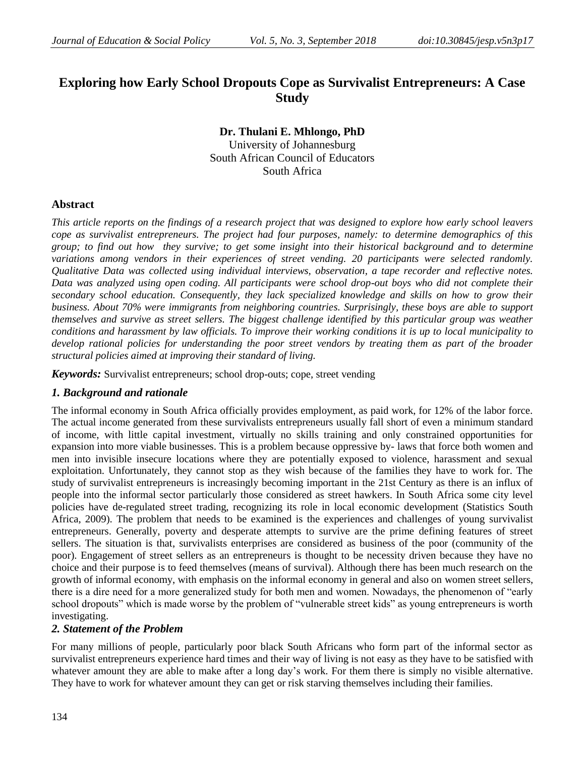# **Exploring how Early School Dropouts Cope as Survivalist Entrepreneurs: A Case Study**

**Dr. Thulani E. Mhlongo, PhD** University of Johannesburg South African Council of Educators South Africa

## **Abstract**

*This article reports on the findings of a research project that was designed to explore how early school leavers cope as survivalist entrepreneurs. The project had four purposes, namely: to determine demographics of this group; to find out how they survive; to get some insight into their historical background and to determine variations among vendors in their experiences of street vending. 20 participants were selected randomly. Qualitative Data was collected using individual interviews, observation, a tape recorder and reflective notes. Data was analyzed using open coding. All participants were school drop-out boys who did not complete their secondary school education. Consequently, they lack specialized knowledge and skills on how to grow their business. About 70% were immigrants from neighboring countries. Surprisingly, these boys are able to support themselves and survive as street sellers. The biggest challenge identified by this particular group was weather conditions and harassment by law officials. To improve their working conditions it is up to local municipality to develop rational policies for understanding the poor street vendors by treating them as part of the broader structural policies aimed at improving their standard of living.* 

*Keywords:* Survivalist entrepreneurs; school drop-outs; cope, street vending

## *1. Background and rationale*

The informal economy in South Africa officially provides employment, as paid work, for 12% of the labor force. The actual income generated from these survivalists entrepreneurs usually fall short of even a minimum standard of income, with little capital investment, virtually no skills training and only constrained opportunities for expansion into more viable businesses. This is a problem because oppressive by- laws that force both women and men into invisible insecure locations where they are potentially exposed to violence, harassment and sexual exploitation. Unfortunately, they cannot stop as they wish because of the families they have to work for. The study of survivalist entrepreneurs is increasingly becoming important in the 21st Century as there is an influx of people into the informal sector particularly those considered as street hawkers. In South Africa some city level policies have de-regulated street trading, recognizing its role in local economic development (Statistics South Africa, 2009). The problem that needs to be examined is the experiences and challenges of young survivalist entrepreneurs. Generally, poverty and desperate attempts to survive are the prime defining features of street sellers. The situation is that, survivalists enterprises are considered as business of the poor (community of the poor). Engagement of street sellers as an entrepreneurs is thought to be necessity driven because they have no choice and their purpose is to feed themselves (means of survival). Although there has been much research on the growth of informal economy, with emphasis on the informal economy in general and also on women street sellers, there is a dire need for a more generalized study for both men and women. Nowadays, the phenomenon of "early school dropouts" which is made worse by the problem of "vulnerable street kids" as young entrepreneurs is worth investigating.

## *2. Statement of the Problem*

For many millions of people, particularly poor black South Africans who form part of the informal sector as survivalist entrepreneurs experience hard times and their way of living is not easy as they have to be satisfied with whatever amount they are able to make after a long day's work. For them there is simply no visible alternative. They have to work for whatever amount they can get or risk starving themselves including their families.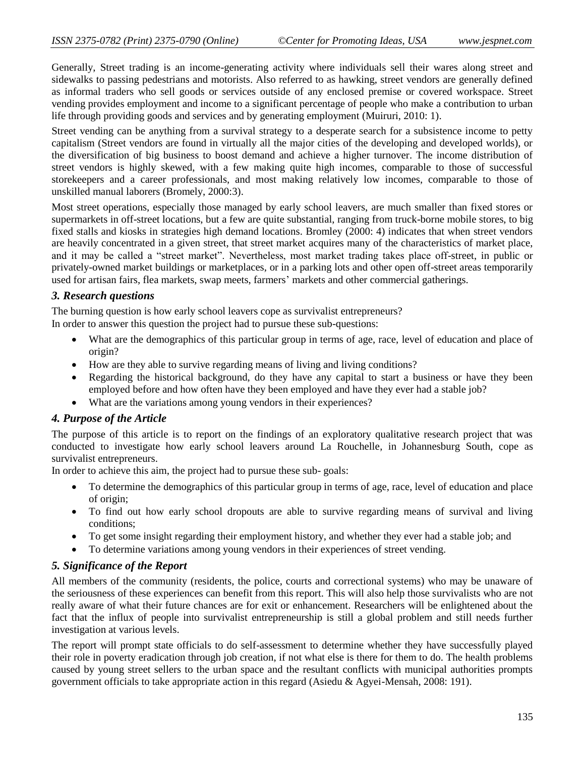Generally, Street trading is an income-generating activity where individuals sell their wares along street and sidewalks to passing pedestrians and motorists. Also referred to as hawking, street vendors are generally defined as informal traders who sell goods or services outside of any enclosed premise or covered workspace. Street vending provides employment and income to a significant percentage of people who make a contribution to urban life through providing goods and services and by generating employment (Muiruri, 2010: 1).

Street vending can be anything from a survival strategy to a desperate search for a subsistence income to petty capitalism (Street vendors are found in virtually all the major cities of the developing and developed worlds), or the diversification of big business to boost demand and achieve a higher turnover. The income distribution of street vendors is highly skewed, with a few making quite high incomes, comparable to those of successful storekeepers and a career professionals, and most making relatively low incomes, comparable to those of unskilled manual laborers (Bromely, 2000:3).

Most street operations, especially those managed by early school leavers, are much smaller than fixed stores or supermarkets in off-street locations, but a few are quite substantial, ranging from truck-borne mobile stores, to big fixed stalls and kiosks in strategies high demand locations. Bromley (2000: 4) indicates that when street vendors are heavily concentrated in a given street, that street market acquires many of the characteristics of market place, and it may be called a "street market". Nevertheless, most market trading takes place off-street, in public or privately-owned market buildings or marketplaces, or in a parking lots and other open off-street areas temporarily used for artisan fairs, flea markets, swap meets, farmers" markets and other commercial gatherings.

#### *3. Research questions*

The burning question is how early school leavers cope as survivalist entrepreneurs?

In order to answer this question the project had to pursue these sub-questions:

- What are the demographics of this particular group in terms of age, race, level of education and place of origin?
- How are they able to survive regarding means of living and living conditions?
- Regarding the historical background, do they have any capital to start a business or have they been employed before and how often have they been employed and have they ever had a stable job?
- What are the variations among young vendors in their experiences?

## *4. Purpose of the Article*

The purpose of this article is to report on the findings of an exploratory qualitative research project that was conducted to investigate how early school leavers around La Rouchelle, in Johannesburg South, cope as survivalist entrepreneurs.

In order to achieve this aim, the project had to pursue these sub- goals:

- To determine the demographics of this particular group in terms of age, race, level of education and place of origin;
- To find out how early school dropouts are able to survive regarding means of survival and living conditions;
- To get some insight regarding their employment history, and whether they ever had a stable job; and
- To determine variations among young vendors in their experiences of street vending.

## *5. Significance of the Report*

All members of the community (residents, the police, courts and correctional systems) who may be unaware of the seriousness of these experiences can benefit from this report. This will also help those survivalists who are not really aware of what their future chances are for exit or enhancement. Researchers will be enlightened about the fact that the influx of people into survivalist entrepreneurship is still a global problem and still needs further investigation at various levels.

The report will prompt state officials to do self-assessment to determine whether they have successfully played their role in poverty eradication through job creation, if not what else is there for them to do. The health problems caused by young street sellers to the urban space and the resultant conflicts with municipal authorities prompts government officials to take appropriate action in this regard (Asiedu & Agyei-Mensah, 2008: 191).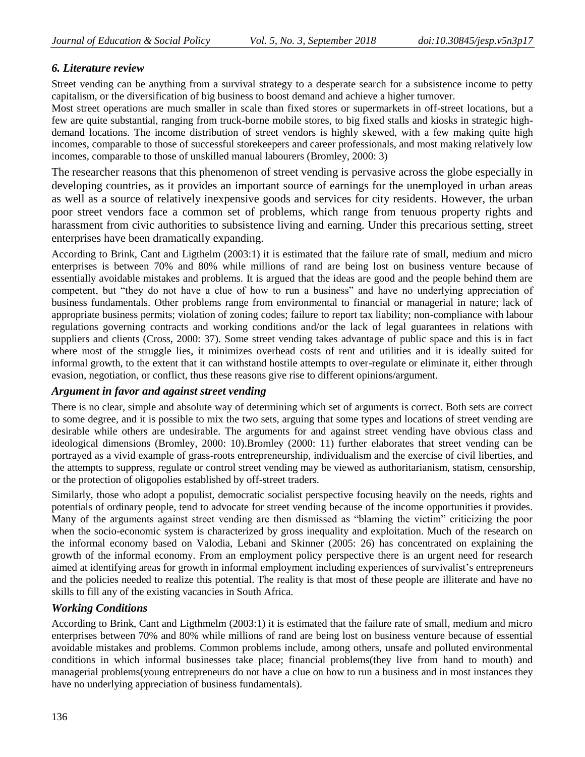## *6. Literature review*

Street vending can be anything from a survival strategy to a desperate search for a subsistence income to petty capitalism, or the diversification of big business to boost demand and achieve a higher turnover.

Most street operations are much smaller in scale than fixed stores or supermarkets in off-street locations, but a few are quite substantial, ranging from truck-borne mobile stores, to big fixed stalls and kiosks in strategic highdemand locations. The income distribution of street vendors is highly skewed, with a few making quite high incomes, comparable to those of successful storekeepers and career professionals, and most making relatively low incomes, comparable to those of unskilled manual labourers (Bromley, 2000: 3)

The researcher reasons that this phenomenon of street vending is pervasive across the globe especially in developing countries, as it provides an important source of earnings for the unemployed in urban areas as well as a source of relatively inexpensive goods and services for city residents. However, the urban poor street vendors face a common set of problems, which range from tenuous property rights and harassment from civic authorities to subsistence living and earning. Under this precarious setting, street enterprises have been dramatically expanding.

According to Brink, Cant and Ligthelm (2003:1) it is estimated that the failure rate of small, medium and micro enterprises is between 70% and 80% while millions of rand are being lost on business venture because of essentially avoidable mistakes and problems. It is argued that the ideas are good and the people behind them are competent, but "they do not have a clue of how to run a business" and have no underlying appreciation of business fundamentals. Other problems range from environmental to financial or managerial in nature; lack of appropriate business permits; violation of zoning codes; failure to report tax liability; non-compliance with labour regulations governing contracts and working conditions and/or the lack of legal guarantees in relations with suppliers and clients (Cross, 2000: 37). Some street vending takes advantage of public space and this is in fact where most of the struggle lies, it minimizes overhead costs of rent and utilities and it is ideally suited for informal growth, to the extent that it can withstand hostile attempts to over-regulate or eliminate it, either through evasion, negotiation, or conflict, thus these reasons give rise to different opinions/argument.

## *Argument in favor and against street vending*

There is no clear, simple and absolute way of determining which set of arguments is correct. Both sets are correct to some degree, and it is possible to mix the two sets, arguing that some types and locations of street vending are desirable while others are undesirable. The arguments for and against street vending have obvious class and ideological dimensions (Bromley, 2000: 10).Bromley (2000: 11) further elaborates that street vending can be portrayed as a vivid example of grass-roots entrepreneurship, individualism and the exercise of civil liberties, and the attempts to suppress, regulate or control street vending may be viewed as authoritarianism, statism, censorship, or the protection of oligopolies established by off-street traders.

Similarly, those who adopt a populist, democratic socialist perspective focusing heavily on the needs, rights and potentials of ordinary people, tend to advocate for street vending because of the income opportunities it provides. Many of the arguments against street vending are then dismissed as "blaming the victim" criticizing the poor when the socio-economic system is characterized by gross inequality and exploitation. Much of the research on the informal economy based on Valodia, Lebani and Skinner (2005: 26) has concentrated on explaining the growth of the informal economy. From an employment policy perspective there is an urgent need for research aimed at identifying areas for growth in informal employment including experiences of survivalist's entrepreneurs and the policies needed to realize this potential. The reality is that most of these people are illiterate and have no skills to fill any of the existing vacancies in South Africa.

## *Working Conditions*

According to Brink, Cant and Ligthmelm (2003:1) it is estimated that the failure rate of small, medium and micro enterprises between 70% and 80% while millions of rand are being lost on business venture because of essential avoidable mistakes and problems. Common problems include, among others, unsafe and polluted environmental conditions in which informal businesses take place; financial problems(they live from hand to mouth) and managerial problems(young entrepreneurs do not have a clue on how to run a business and in most instances they have no underlying appreciation of business fundamentals).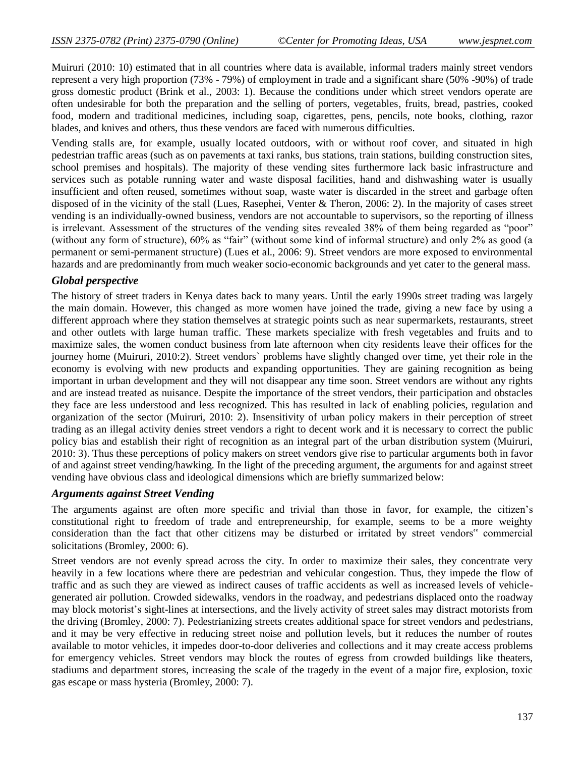Muiruri (2010: 10) estimated that in all countries where data is available, informal traders mainly street vendors represent a very high proportion (73% - 79%) of employment in trade and a significant share (50% -90%) of trade gross domestic product (Brink et al., 2003: 1). Because the conditions under which street vendors operate are often undesirable for both the preparation and the selling of porters, vegetables, fruits, bread, pastries, cooked food, modern and traditional medicines, including soap, cigarettes, pens, pencils, note books, clothing, razor blades, and knives and others, thus these vendors are faced with numerous difficulties.

Vending stalls are, for example, usually located outdoors, with or without roof cover, and situated in high pedestrian traffic areas (such as on pavements at taxi ranks, bus stations, train stations, building construction sites, school premises and hospitals). The majority of these vending sites furthermore lack basic infrastructure and services such as potable running water and waste disposal facilities, hand and dishwashing water is usually insufficient and often reused, sometimes without soap, waste water is discarded in the street and garbage often disposed of in the vicinity of the stall (Lues, Rasephei, Venter & Theron, 2006: 2). In the majority of cases street vending is an individually-owned business, vendors are not accountable to supervisors, so the reporting of illness is irrelevant. Assessment of the structures of the vending sites revealed 38% of them being regarded as "poor" (without any form of structure), 60% as "fair" (without some kind of informal structure) and only 2% as good (a permanent or semi-permanent structure) (Lues et al., 2006: 9). Street vendors are more exposed to environmental hazards and are predominantly from much weaker socio-economic backgrounds and yet cater to the general mass.

#### *Global perspective*

The history of street traders in Kenya dates back to many years. Until the early 1990s street trading was largely the main domain. However, this changed as more women have joined the trade, giving a new face by using a different approach where they station themselves at strategic points such as near supermarkets, restaurants, street and other outlets with large human traffic. These markets specialize with fresh vegetables and fruits and to maximize sales, the women conduct business from late afternoon when city residents leave their offices for the journey home (Muiruri, 2010:2). Street vendors` problems have slightly changed over time, yet their role in the economy is evolving with new products and expanding opportunities. They are gaining recognition as being important in urban development and they will not disappear any time soon. Street vendors are without any rights and are instead treated as nuisance. Despite the importance of the street vendors, their participation and obstacles they face are less understood and less recognized. This has resulted in lack of enabling policies, regulation and organization of the sector (Muiruri, 2010: 2). Insensitivity of urban policy makers in their perception of street trading as an illegal activity denies street vendors a right to decent work and it is necessary to correct the public policy bias and establish their right of recognition as an integral part of the urban distribution system (Muiruri, 2010: 3). Thus these perceptions of policy makers on street vendors give rise to particular arguments both in favor of and against street vending/hawking. In the light of the preceding argument, the arguments for and against street vending have obvious class and ideological dimensions which are briefly summarized below:

#### *Arguments against Street Vending*

The arguments against are often more specific and trivial than those in favor, for example, the citizen"s constitutional right to freedom of trade and entrepreneurship, for example, seems to be a more weighty consideration than the fact that other citizens may be disturbed or irritated by street vendors" commercial solicitations (Bromley, 2000: 6).

Street vendors are not evenly spread across the city. In order to maximize their sales, they concentrate very heavily in a few locations where there are pedestrian and vehicular congestion. Thus, they impede the flow of traffic and as such they are viewed as indirect causes of traffic accidents as well as increased levels of vehiclegenerated air pollution. Crowded sidewalks, vendors in the roadway, and pedestrians displaced onto the roadway may block motorist"s sight-lines at intersections, and the lively activity of street sales may distract motorists from the driving (Bromley, 2000: 7). Pedestrianizing streets creates additional space for street vendors and pedestrians, and it may be very effective in reducing street noise and pollution levels, but it reduces the number of routes available to motor vehicles, it impedes door-to-door deliveries and collections and it may create access problems for emergency vehicles. Street vendors may block the routes of egress from crowded buildings like theaters, stadiums and department stores, increasing the scale of the tragedy in the event of a major fire, explosion, toxic gas escape or mass hysteria (Bromley, 2000: 7).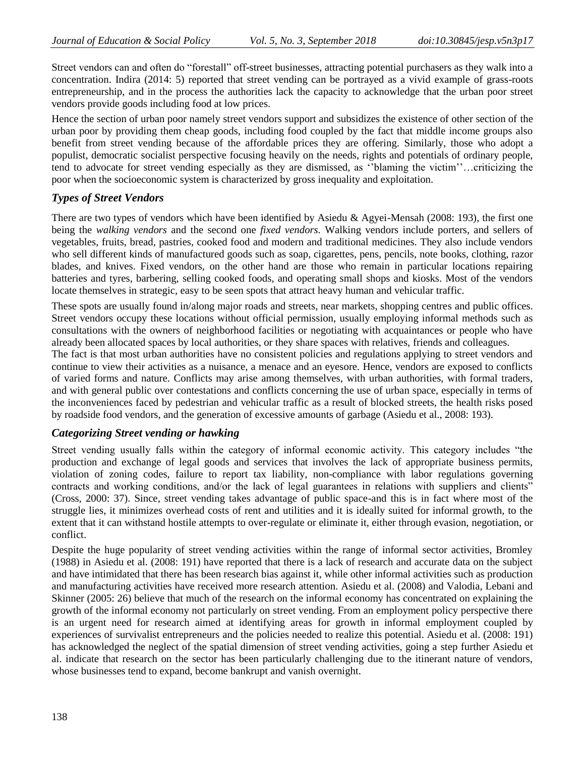Street vendors can and often do "forestall" off-street businesses, attracting potential purchasers as they walk into a concentration. Indira (2014: 5) reported that street vending can be portrayed as a vivid example of grass-roots entrepreneurship, and in the process the authorities lack the capacity to acknowledge that the urban poor street vendors provide goods including food at low prices.

Hence the section of urban poor namely street vendors support and subsidizes the existence of other section of the urban poor by providing them cheap goods, including food coupled by the fact that middle income groups also benefit from street vending because of the affordable prices they are offering. Similarly, those who adopt a populist, democratic socialist perspective focusing heavily on the needs, rights and potentials of ordinary people, tend to advocate for street vending especially as they are dismissed, as "blaming the victim"...criticizing the poor when the socioeconomic system is characterized by gross inequality and exploitation.

## *Types of Street Vendors*

There are two types of vendors which have been identified by Asiedu & Agyei-Mensah (2008: 193), the first one being the *walking vendors* and the second one *fixed vendors.* Walking vendors include porters, and sellers of vegetables, fruits, bread, pastries, cooked food and modern and traditional medicines. They also include vendors who sell different kinds of manufactured goods such as soap, cigarettes, pens, pencils, note books, clothing, razor blades, and knives. Fixed vendors, on the other hand are those who remain in particular locations repairing batteries and tyres, barbering, selling cooked foods, and operating small shops and kiosks. Most of the vendors locate themselves in strategic, easy to be seen spots that attract heavy human and vehicular traffic.

These spots are usually found in/along major roads and streets, near markets, shopping centres and public offices. Street vendors occupy these locations without official permission, usually employing informal methods such as consultations with the owners of neighborhood facilities or negotiating with acquaintances or people who have already been allocated spaces by local authorities, or they share spaces with relatives, friends and colleagues.

The fact is that most urban authorities have no consistent policies and regulations applying to street vendors and continue to view their activities as a nuisance, a menace and an eyesore. Hence, vendors are exposed to conflicts of varied forms and nature. Conflicts may arise among themselves, with urban authorities, with formal traders, and with general public over contestations and conflicts concerning the use of urban space, especially in terms of the inconveniences faced by pedestrian and vehicular traffic as a result of blocked streets, the health risks posed by roadside food vendors, and the generation of excessive amounts of garbage (Asiedu et al., 2008: 193).

## *Categorizing Street vending or hawking*

Street vending usually falls within the category of informal economic activity. This category includes "the production and exchange of legal goods and services that involves the lack of appropriate business permits, violation of zoning codes, failure to report tax liability, non-compliance with labor regulations governing contracts and working conditions, and/or the lack of legal guarantees in relations with suppliers and clients" (Cross, 2000: 37). Since, street vending takes advantage of public space-and this is in fact where most of the struggle lies, it minimizes overhead costs of rent and utilities and it is ideally suited for informal growth, to the extent that it can withstand hostile attempts to over-regulate or eliminate it, either through evasion, negotiation, or conflict.

Despite the huge popularity of street vending activities within the range of informal sector activities, Bromley (1988) in Asiedu et al. (2008: 191) have reported that there is a lack of research and accurate data on the subject and have intimidated that there has been research bias against it, while other informal activities such as production and manufacturing activities have received more research attention. Asiedu et al. (2008) and Valodia, Lebani and Skinner (2005: 26) believe that much of the research on the informal economy has concentrated on explaining the growth of the informal economy not particularly on street vending. From an employment policy perspective there is an urgent need for research aimed at identifying areas for growth in informal employment coupled by experiences of survivalist entrepreneurs and the policies needed to realize this potential. Asiedu et al. (2008: 191) has acknowledged the neglect of the spatial dimension of street vending activities, going a step further Asiedu et al. indicate that research on the sector has been particularly challenging due to the itinerant nature of vendors, whose businesses tend to expand, become bankrupt and vanish overnight.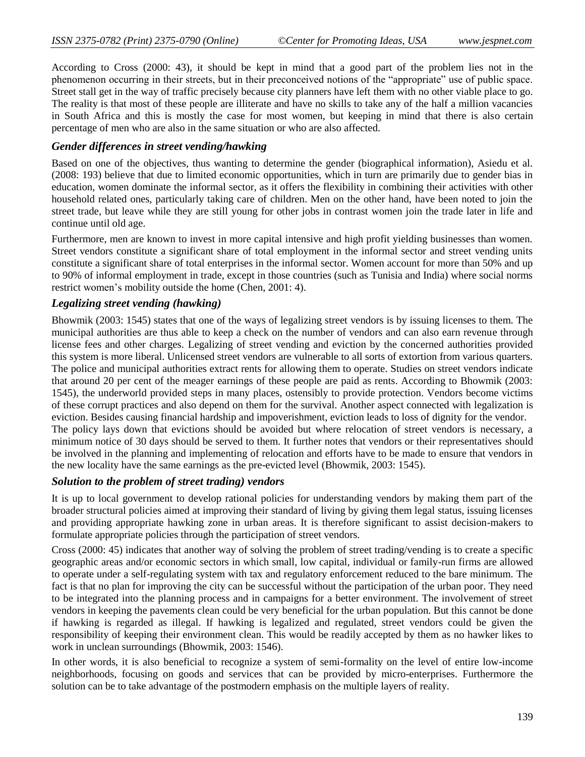According to Cross (2000: 43), it should be kept in mind that a good part of the problem lies not in the phenomenon occurring in their streets, but in their preconceived notions of the "appropriate" use of public space. Street stall get in the way of traffic precisely because city planners have left them with no other viable place to go. The reality is that most of these people are illiterate and have no skills to take any of the half a million vacancies in South Africa and this is mostly the case for most women, but keeping in mind that there is also certain percentage of men who are also in the same situation or who are also affected.

#### *Gender differences in street vending/hawking*

Based on one of the objectives, thus wanting to determine the gender (biographical information), Asiedu et al. (2008: 193) believe that due to limited economic opportunities, which in turn are primarily due to gender bias in education, women dominate the informal sector, as it offers the flexibility in combining their activities with other household related ones, particularly taking care of children. Men on the other hand, have been noted to join the street trade, but leave while they are still young for other jobs in contrast women join the trade later in life and continue until old age.

Furthermore, men are known to invest in more capital intensive and high profit yielding businesses than women. Street vendors constitute a significant share of total employment in the informal sector and street vending units constitute a significant share of total enterprises in the informal sector. Women account for more than 50% and up to 90% of informal employment in trade, except in those countries (such as Tunisia and India) where social norms restrict women"s mobility outside the home (Chen, 2001: 4).

#### *Legalizing street vending (hawking)*

Bhowmik (2003: 1545) states that one of the ways of legalizing street vendors is by issuing licenses to them. The municipal authorities are thus able to keep a check on the number of vendors and can also earn revenue through license fees and other charges. Legalizing of street vending and eviction by the concerned authorities provided this system is more liberal. Unlicensed street vendors are vulnerable to all sorts of extortion from various quarters. The police and municipal authorities extract rents for allowing them to operate. Studies on street vendors indicate that around 20 per cent of the meager earnings of these people are paid as rents. According to Bhowmik (2003: 1545), the underworld provided steps in many places, ostensibly to provide protection. Vendors become victims of these corrupt practices and also depend on them for the survival. Another aspect connected with legalization is eviction. Besides causing financial hardship and impoverishment, eviction leads to loss of dignity for the vendor. The policy lays down that evictions should be avoided but where relocation of street vendors is necessary, a minimum notice of 30 days should be served to them. It further notes that vendors or their representatives should be involved in the planning and implementing of relocation and efforts have to be made to ensure that vendors in the new locality have the same earnings as the pre-evicted level (Bhowmik, 2003: 1545).

#### *Solution to the problem of street trading) vendors*

It is up to local government to develop rational policies for understanding vendors by making them part of the broader structural policies aimed at improving their standard of living by giving them legal status, issuing licenses and providing appropriate hawking zone in urban areas. It is therefore significant to assist decision-makers to formulate appropriate policies through the participation of street vendors.

Cross (2000: 45) indicates that another way of solving the problem of street trading/vending is to create a specific geographic areas and/or economic sectors in which small, low capital, individual or family-run firms are allowed to operate under a self-regulating system with tax and regulatory enforcement reduced to the bare minimum. The fact is that no plan for improving the city can be successful without the participation of the urban poor. They need to be integrated into the planning process and in campaigns for a better environment. The involvement of street vendors in keeping the pavements clean could be very beneficial for the urban population. But this cannot be done if hawking is regarded as illegal. If hawking is legalized and regulated, street vendors could be given the responsibility of keeping their environment clean. This would be readily accepted by them as no hawker likes to work in unclean surroundings (Bhowmik, 2003: 1546).

In other words, it is also beneficial to recognize a system of semi-formality on the level of entire low-income neighborhoods, focusing on goods and services that can be provided by micro-enterprises. Furthermore the solution can be to take advantage of the postmodern emphasis on the multiple layers of reality.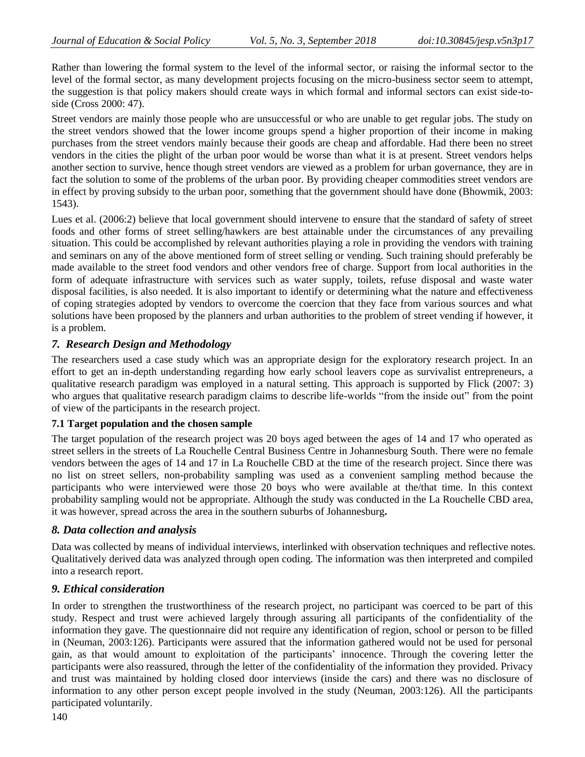Rather than lowering the formal system to the level of the informal sector, or raising the informal sector to the level of the formal sector, as many development projects focusing on the micro-business sector seem to attempt, the suggestion is that policy makers should create ways in which formal and informal sectors can exist side-toside (Cross 2000: 47).

Street vendors are mainly those people who are unsuccessful or who are unable to get regular jobs. The study on the street vendors showed that the lower income groups spend a higher proportion of their income in making purchases from the street vendors mainly because their goods are cheap and affordable. Had there been no street vendors in the cities the plight of the urban poor would be worse than what it is at present. Street vendors helps another section to survive, hence though street vendors are viewed as a problem for urban governance, they are in fact the solution to some of the problems of the urban poor. By providing cheaper commodities street vendors are in effect by proving subsidy to the urban poor, something that the government should have done (Bhowmik, 2003: 1543).

Lues et al. (2006:2) believe that local government should intervene to ensure that the standard of safety of street foods and other forms of street selling/hawkers are best attainable under the circumstances of any prevailing situation. This could be accomplished by relevant authorities playing a role in providing the vendors with training and seminars on any of the above mentioned form of street selling or vending. Such training should preferably be made available to the street food vendors and other vendors free of charge. Support from local authorities in the form of adequate infrastructure with services such as water supply, toilets, refuse disposal and waste water disposal facilities, is also needed. It is also important to identify or determining what the nature and effectiveness of coping strategies adopted by vendors to overcome the coercion that they face from various sources and what solutions have been proposed by the planners and urban authorities to the problem of street vending if however, it is a problem.

## *7. Research Design and Methodology*

The researchers used a case study which was an appropriate design for the exploratory research project. In an effort to get an in-depth understanding regarding how early school leavers cope as survivalist entrepreneurs, a qualitative research paradigm was employed in a natural setting. This approach is supported by Flick (2007: 3) who argues that qualitative research paradigm claims to describe life-worlds "from the inside out" from the point of view of the participants in the research project.

## **7.1 Target population and the chosen sample**

The target population of the research project was 20 boys aged between the ages of 14 and 17 who operated as street sellers in the streets of La Rouchelle Central Business Centre in Johannesburg South. There were no female vendors between the ages of 14 and 17 in La Rouchelle CBD at the time of the research project. Since there was no list on street sellers, non-probability sampling was used as a convenient sampling method because the participants who were interviewed were those 20 boys who were available at the/that time. In this context probability sampling would not be appropriate. Although the study was conducted in the La Rouchelle CBD area, it was however, spread across the area in the southern suburbs of Johannesburg**.** 

## *8. Data collection and analysis*

Data was collected by means of individual interviews, interlinked with observation techniques and reflective notes. Qualitatively derived data was analyzed through open coding. The information was then interpreted and compiled into a research report.

## *9. Ethical consideration*

In order to strengthen the trustworthiness of the research project, no participant was coerced to be part of this study. Respect and trust were achieved largely through assuring all participants of the confidentiality of the information they gave. The questionnaire did not require any identification of region, school or person to be filled in (Neuman, 2003:126). Participants were assured that the information gathered would not be used for personal gain, as that would amount to exploitation of the participants" innocence. Through the covering letter the participants were also reassured, through the letter of the confidentiality of the information they provided. Privacy and trust was maintained by holding closed door interviews (inside the cars) and there was no disclosure of information to any other person except people involved in the study (Neuman, 2003:126). All the participants participated voluntarily.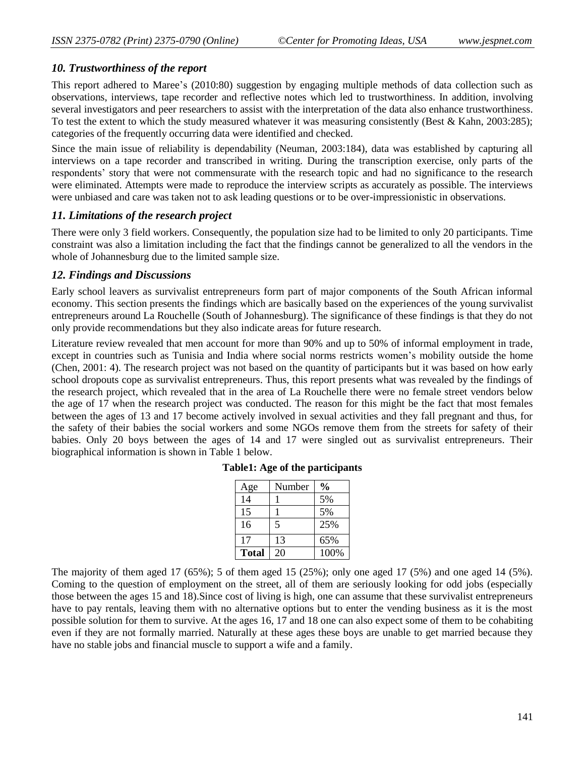## *10. Trustworthiness of the report*

This report adhered to Maree"s (2010:80) suggestion by engaging multiple methods of data collection such as observations, interviews, tape recorder and reflective notes which led to trustworthiness. In addition, involving several investigators and peer researchers to assist with the interpretation of the data also enhance trustworthiness. To test the extent to which the study measured whatever it was measuring consistently (Best & Kahn, 2003:285); categories of the frequently occurring data were identified and checked.

Since the main issue of reliability is dependability (Neuman, 2003:184), data was established by capturing all interviews on a tape recorder and transcribed in writing. During the transcription exercise, only parts of the respondents" story that were not commensurate with the research topic and had no significance to the research were eliminated. Attempts were made to reproduce the interview scripts as accurately as possible. The interviews were unbiased and care was taken not to ask leading questions or to be over-impressionistic in observations.

#### *11. Limitations of the research project*

There were only 3 field workers. Consequently, the population size had to be limited to only 20 participants. Time constraint was also a limitation including the fact that the findings cannot be generalized to all the vendors in the whole of Johannesburg due to the limited sample size.

#### *12. Findings and Discussions*

Early school leavers as survivalist entrepreneurs form part of major components of the South African informal economy. This section presents the findings which are basically based on the experiences of the young survivalist entrepreneurs around La Rouchelle (South of Johannesburg). The significance of these findings is that they do not only provide recommendations but they also indicate areas for future research.

Literature review revealed that men account for more than 90% and up to 50% of informal employment in trade, except in countries such as Tunisia and India where social norms restricts women"s mobility outside the home (Chen, 2001: 4). The research project was not based on the quantity of participants but it was based on how early school dropouts cope as survivalist entrepreneurs. Thus, this report presents what was revealed by the findings of the research project, which revealed that in the area of La Rouchelle there were no female street vendors below the age of 17 when the research project was conducted. The reason for this might be the fact that most females between the ages of 13 and 17 become actively involved in sexual activities and they fall pregnant and thus, for the safety of their babies the social workers and some NGOs remove them from the streets for safety of their babies. Only 20 boys between the ages of 14 and 17 were singled out as survivalist entrepreneurs. Their biographical information is shown in Table 1 below.

| <b>Table1: Age of the participants</b> |  |  |
|----------------------------------------|--|--|
|----------------------------------------|--|--|

| Age          | Number | $\frac{0}{0}$ |
|--------------|--------|---------------|
| 14           |        | 5%            |
| 15           |        | 5%            |
| 16           | 5      | 25%           |
| 17           | 13     | 65%           |
| <b>Total</b> | 20     | 100%          |

The majority of them aged 17 (65%); 5 of them aged 15 (25%); only one aged 17 (5%) and one aged 14 (5%). Coming to the question of employment on the street, all of them are seriously looking for odd jobs (especially those between the ages 15 and 18).Since cost of living is high, one can assume that these survivalist entrepreneurs have to pay rentals, leaving them with no alternative options but to enter the vending business as it is the most possible solution for them to survive. At the ages 16, 17 and 18 one can also expect some of them to be cohabiting even if they are not formally married. Naturally at these ages these boys are unable to get married because they have no stable jobs and financial muscle to support a wife and a family.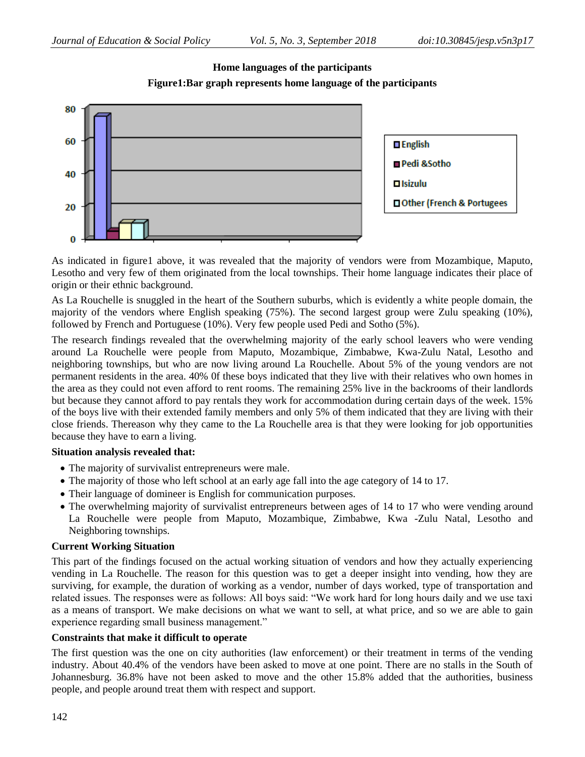## **Home languages of the participants Figure1:Bar graph represents home language of the participants**



As indicated in figure1 above, it was revealed that the majority of vendors were from Mozambique, Maputo, Lesotho and very few of them originated from the local townships. Their home language indicates their place of origin or their ethnic background.

As La Rouchelle is snuggled in the heart of the Southern suburbs, which is evidently a white people domain, the majority of the vendors where English speaking (75%). The second largest group were Zulu speaking (10%), followed by French and Portuguese (10%). Very few people used Pedi and Sotho (5%).

The research findings revealed that the overwhelming majority of the early school leavers who were vending around La Rouchelle were people from Maputo, Mozambique, Zimbabwe, Kwa-Zulu Natal, Lesotho and neighboring townships, but who are now living around La Rouchelle. About 5% of the young vendors are not permanent residents in the area. 40% 0f these boys indicated that they live with their relatives who own homes in the area as they could not even afford to rent rooms. The remaining 25% live in the backrooms of their landlords but because they cannot afford to pay rentals they work for accommodation during certain days of the week. 15% of the boys live with their extended family members and only 5% of them indicated that they are living with their close friends. Thereason why they came to the La Rouchelle area is that they were looking for job opportunities because they have to earn a living.

#### **Situation analysis revealed that:**

- The majority of survivalist entrepreneurs were male.
- The majority of those who left school at an early age fall into the age category of 14 to 17.
- Their language of domineer is English for communication purposes.
- The overwhelming majority of survivalist entrepreneurs between ages of 14 to 17 who were vending around La Rouchelle were people from Maputo, Mozambique, Zimbabwe, Kwa -Zulu Natal, Lesotho and Neighboring townships.

#### **Current Working Situation**

This part of the findings focused on the actual working situation of vendors and how they actually experiencing vending in La Rouchelle. The reason for this question was to get a deeper insight into vending, how they are surviving, for example, the duration of working as a vendor, number of days worked, type of transportation and related issues. The responses were as follows: All boys said: "We work hard for long hours daily and we use taxi as a means of transport. We make decisions on what we want to sell, at what price, and so we are able to gain experience regarding small business management."

#### **Constraints that make it difficult to operate**

The first question was the one on city authorities (law enforcement) or their treatment in terms of the vending industry. About 40.4% of the vendors have been asked to move at one point. There are no stalls in the South of Johannesburg. 36.8% have not been asked to move and the other 15.8% added that the authorities, business people, and people around treat them with respect and support.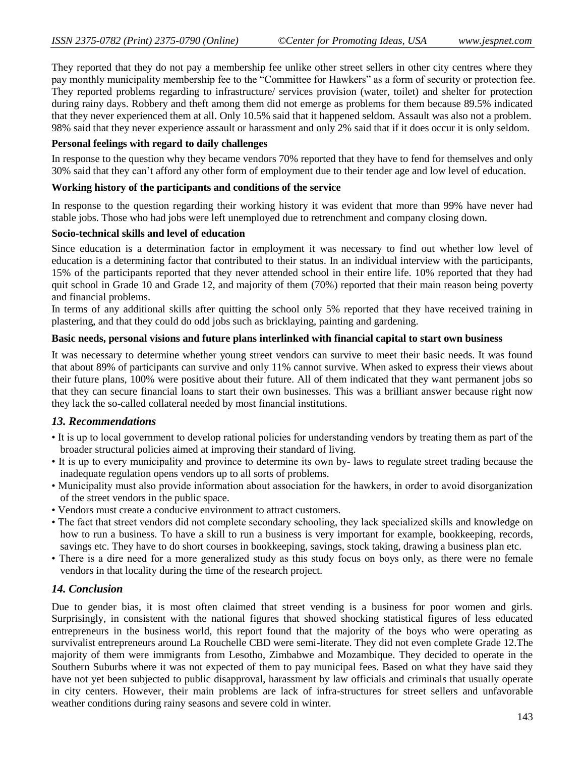They reported that they do not pay a membership fee unlike other street sellers in other city centres where they pay monthly municipality membership fee to the "Committee for Hawkers" as a form of security or protection fee. They reported problems regarding to infrastructure/ services provision (water, toilet) and shelter for protection during rainy days. Robbery and theft among them did not emerge as problems for them because 89.5% indicated that they never experienced them at all. Only 10.5% said that it happened seldom. Assault was also not a problem. 98% said that they never experience assault or harassment and only 2% said that if it does occur it is only seldom.

#### **Personal feelings with regard to daily challenges**

In response to the question why they became vendors 70% reported that they have to fend for themselves and only 30% said that they can"t afford any other form of employment due to their tender age and low level of education.

#### **Working history of the participants and conditions of the service**

In response to the question regarding their working history it was evident that more than 99% have never had stable jobs. Those who had jobs were left unemployed due to retrenchment and company closing down.

#### **Socio-technical skills and level of education**

Since education is a determination factor in employment it was necessary to find out whether low level of education is a determining factor that contributed to their status. In an individual interview with the participants, 15% of the participants reported that they never attended school in their entire life. 10% reported that they had quit school in Grade 10 and Grade 12, and majority of them (70%) reported that their main reason being poverty and financial problems.

In terms of any additional skills after quitting the school only 5% reported that they have received training in plastering, and that they could do odd jobs such as bricklaying, painting and gardening.

#### **Basic needs, personal visions and future plans interlinked with financial capital to start own business**

It was necessary to determine whether young street vendors can survive to meet their basic needs. It was found that about 89% of participants can survive and only 11% cannot survive. When asked to express their views about their future plans, 100% were positive about their future. All of them indicated that they want permanent jobs so that they can secure financial loans to start their own businesses. This was a brilliant answer because right now they lack the so-called collateral needed by most financial institutions.

#### *13. Recommendations*

- It is up to local government to develop rational policies for understanding vendors by treating them as part of the broader structural policies aimed at improving their standard of living.
- It is up to every municipality and province to determine its own by- laws to regulate street trading because the inadequate regulation opens vendors up to all sorts of problems.
- Municipality must also provide information about association for the hawkers, in order to avoid disorganization of the street vendors in the public space.
- Vendors must create a conducive environment to attract customers.
- The fact that street vendors did not complete secondary schooling, they lack specialized skills and knowledge on how to run a business. To have a skill to run a business is very important for example, bookkeeping, records, savings etc. They have to do short courses in bookkeeping, savings, stock taking, drawing a business plan etc.
- There is a dire need for a more generalized study as this study focus on boys only, as there were no female vendors in that locality during the time of the research project.

## *14. Conclusion*

Due to gender bias, it is most often claimed that street vending is a business for poor women and girls. Surprisingly, in consistent with the national figures that showed shocking statistical figures of less educated entrepreneurs in the business world, this report found that the majority of the boys who were operating as survivalist entrepreneurs around La Rouchelle CBD were semi-literate. They did not even complete Grade 12.The majority of them were immigrants from Lesotho, Zimbabwe and Mozambique. They decided to operate in the Southern Suburbs where it was not expected of them to pay municipal fees. Based on what they have said they have not yet been subjected to public disapproval, harassment by law officials and criminals that usually operate in city centers. However, their main problems are lack of infra-structures for street sellers and unfavorable weather conditions during rainy seasons and severe cold in winter.